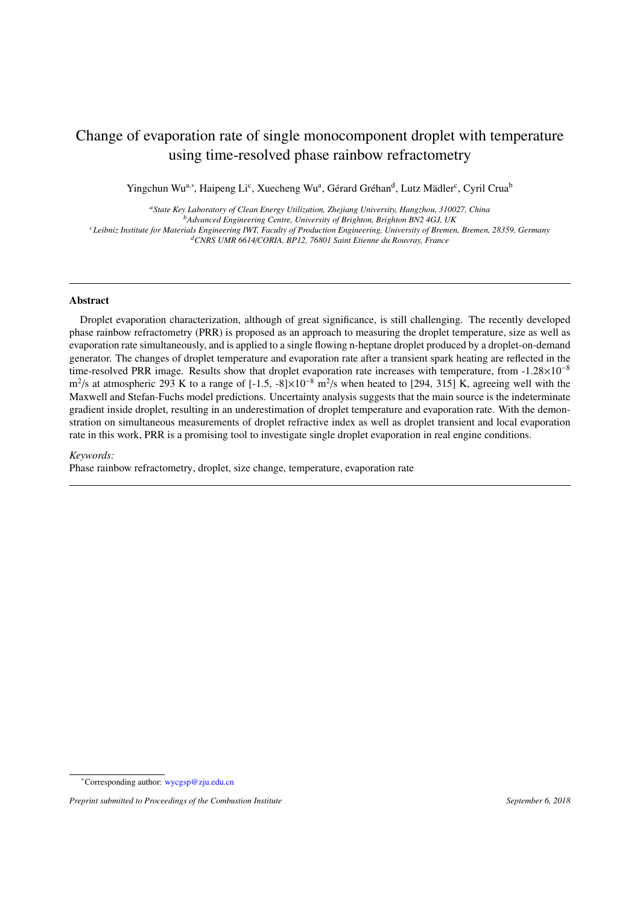# Change of evaporation rate of single monocomponent droplet with temperature using time-resolved phase rainbow refractometry

Yingchun Wu<sup>a,∗</sup>, Haipeng Li<sup>c</sup>, Xuecheng Wu<sup>a</sup>, Gérard Gréhan<sup>d</sup>, Lutz Mädler<sup>c</sup>, Cyril Crua<sup>b</sup>

*<sup>a</sup>State Key Laboratory of Clean Energy Utilization, Zhejiang University, Hangzhou, 310027, China <sup>b</sup>Advanced Engineering Centre, University of Brighton, Brighton BN2 4GJ, UK*

*<sup>c</sup>Leibniz Institute for Materials Engineering IWT, Faculty of Production Engineering, University of Bremen, Bremen, 28359, Germany*

*<sup>d</sup>CNRS UMR 6614*/*CORIA, BP12, 76801 Saint Etienne du Rouvray, France*

## Abstract

Droplet evaporation characterization, although of great significance, is still challenging. The recently developed phase rainbow refractometry (PRR) is proposed as an approach to measuring the droplet temperature, size as well as evaporation rate simultaneously, and is applied to a single flowing n-heptane droplet produced by a droplet-on-demand generator. The changes of droplet temperature and evaporation rate after a transient spark heating are reflected in the time-resolved PRR image. Results show that droplet evaporation rate increases with temperature, from -1.28×10<sup>−</sup><sup>8</sup> m<sup>2</sup>/s at atmospheric 293 K to a range of  $[-1.5, -8] \times 10^{-8}$  m<sup>2</sup>/s when heated to [294, 315] K, agreeing well with the Maxwell and Stefan-Fuchs model predictions. Uncertainty analysis suggests that the main source is the indeterminate gradient inside droplet, resulting in an underestimation of droplet temperature and evaporation rate. With the demonstration on simultaneous measurements of droplet refractive index as well as droplet transient and local evaporation rate in this work, PRR is a promising tool to investigate single droplet evaporation in real engine conditions.

#### *Keywords:*

Phase rainbow refractometry, droplet, size change, temperature, evaporation rate

<sup>∗</sup>Corresponding author: [wycgsp@zju.edu.cn](mailto: wycgsp@zju.edu.cn)

*Preprint submitted to Proceedings of the Combustion Institute September 6, 2018*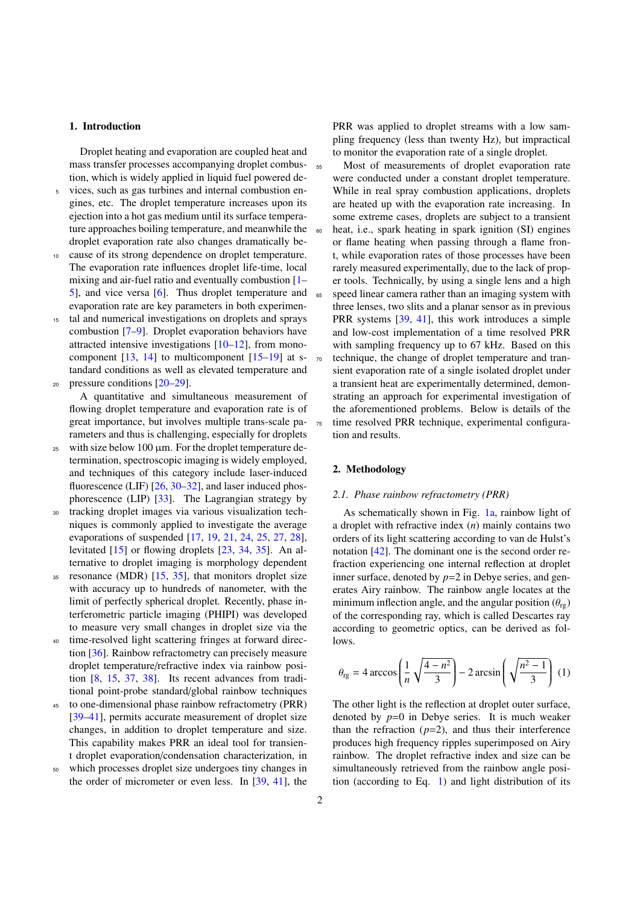# 1. Introduction

Droplet heating and evaporation are coupled heat and mass transfer processes accompanying droplet combustion, which is widely applied in liquid fuel powered de-

- <sup>5</sup> vices, such as gas turbines and internal combustion engines, etc. The droplet temperature increases upon its ejection into a hot gas medium until its surface temperature approaches boiling temperature, and meanwhile the droplet evaporation rate also changes dramatically be-
- <sup>10</sup> cause of its strong dependence on droplet temperature. The evaporation rate influences droplet life-time, local mixing and air-fuel ratio and eventually combustion [\[1–](#page-7-0) [5\]](#page-7-1), and vice versa [\[6\]](#page-7-2). Thus droplet temperature and evaporation rate are key parameters in both experimen-
- <sup>15</sup> tal and numerical investigations on droplets and sprays combustion [\[7](#page-7-3)[–9\]](#page-7-4). Droplet evaporation behaviors have attracted intensive investigations  $[10-12]$  $[10-12]$ , from monocomponent  $[13, 14]$  $[13, 14]$  $[13, 14]$  to multicomponent  $[15-19]$  $[15-19]$  at standard conditions as well as elevated temperature and 20 pressure conditions  $[20-29]$  $[20-29]$ .
	- A quantitative and simultaneous measurement of flowing droplet temperature and evaporation rate is of great importance, but involves multiple trans-scale parameters and thus is challenging, especially for droplets
- $25$  with size below 100  $\mu$ m. For the droplet temperature determination, spectroscopic imaging is widely employed, and techniques of this category include laser-induced fluorescence (LIF) [\[26,](#page-7-13) [30–](#page-7-14)[32\]](#page-7-15), and laser induced phosphorescence (LIP) [\[33\]](#page-7-16). The Lagrangian strategy by
- <sup>30</sup> tracking droplet images via various visualization techniques is commonly applied to investigate the average evaporations of suspended [\[17,](#page-7-17) [19,](#page-7-10) [21,](#page-7-18) [24,](#page-7-19) [25,](#page-7-20) [27,](#page-7-21) [28\]](#page-7-22), levitated [\[15\]](#page-7-9) or flowing droplets [\[23,](#page-7-23) [34,](#page-7-24) [35\]](#page-7-25). An alternative to droplet imaging is morphology dependent
- <sup>35</sup> resonance (MDR) [\[15,](#page-7-9) [35\]](#page-7-25), that monitors droplet size with accuracy up to hundreds of nanometer, with the limit of perfectly spherical droplet. Recently, phase interferometric particle imaging (PHIPI) was developed to measure very small changes in droplet size via the
- <sup>40</sup> time-resolved light scattering fringes at forward direction [\[36\]](#page-7-26). Rainbow refractometry can precisely measure droplet temperature/refractive index via rainbow position [\[8,](#page-7-27) [15,](#page-7-9) [37,](#page-7-28) [38\]](#page-7-29). Its recent advances from traditional point-probe standard/global rainbow techniques
- to one-dimensional phase rainbow refractometry (PRR) [\[39–](#page-7-30)[41\]](#page-7-31), permits accurate measurement of droplet size changes, in addition to droplet temperature and size. This capability makes PRR an ideal tool for transient droplet evaporation/condensation characterization, in
- <sup>50</sup> which processes droplet size undergoes tiny changes in the order of micrometer or even less. In [\[39,](#page-7-30) [41\]](#page-7-31), the

PRR was applied to droplet streams with a low sampling frequency (less than twenty Hz), but impractical to monitor the evaporation rate of a single droplet.

<sup>55</sup> Most of measurements of droplet evaporation rate were conducted under a constant droplet temperature. While in real spray combustion applications, droplets are heated up with the evaporation rate increasing. In some extreme cases, droplets are subject to a transient <sup>60</sup> heat, i.e., spark heating in spark ignition (SI) engines or flame heating when passing through a flame front, while evaporation rates of those processes have been rarely measured experimentally, due to the lack of proper tools. Technically, by using a single lens and a high <sup>65</sup> speed linear camera rather than an imaging system with three lenses, two slits and a planar sensor as in previous PRR systems [\[39,](#page-7-30) [41\]](#page-7-31), this work introduces a simple and low-cost implementation of a time resolved PRR with sampling frequency up to 67 kHz. Based on this technique, the change of droplet temperature and transient evaporation rate of a single isolated droplet under a transient heat are experimentally determined, demonstrating an approach for experimental investigation of the aforementioned problems. Below is details of the <sup>75</sup> time resolved PRR technique, experimental configuration and results.

# 2. Methodology

# *2.1. Phase rainbow refractometry (PRR)*

As schematically shown in Fig. [1a,](#page-2-0) rainbow light of a droplet with refractive index (*n*) mainly contains two orders of its light scattering according to van de Hulst's notation [\[42\]](#page-7-32). The dominant one is the second order refraction experiencing one internal reflection at droplet inner surface, denoted by *p*=2 in Debye series, and generates Airy rainbow. The rainbow angle locates at the minimum inflection angle, and the angular position  $(\theta_{\text{re}})$ of the corresponding ray, which is called Descartes ray according to geometric optics, can be derived as follows.

<span id="page-1-0"></span>
$$
\theta_{\text{rg}} = 4 \arccos\left(\frac{1}{n}\sqrt{\frac{4-n^2}{3}}\right) - 2 \arcsin\left(\sqrt{\frac{n^2-1}{3}}\right) (1)
$$

The other light is the reflection at droplet outer surface, denoted by  $p=0$  in Debye series. It is much weaker than the refraction  $(p=2)$ , and thus their interference produces high frequency ripples superimposed on Airy rainbow. The droplet refractive index and size can be simultaneously retrieved from the rainbow angle position (according to Eq. [1\)](#page-1-0) and light distribution of its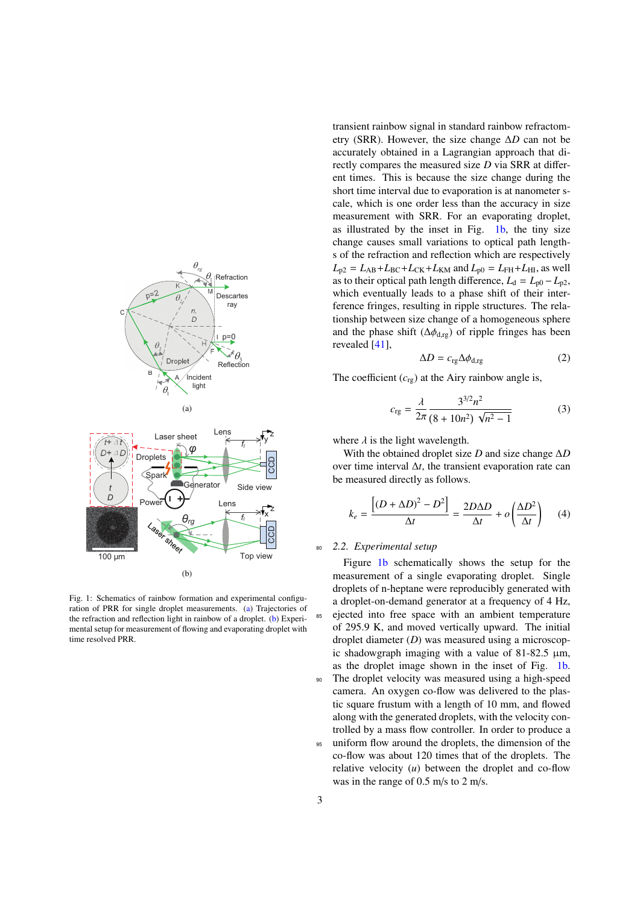<span id="page-2-0"></span>



<span id="page-2-1"></span>Fig. 1: Schematics of rainbow formation and experimental configuration of PRR for single droplet measurements. [\(a\)](#page-2-0) Trajectories of the refraction and reflection light in rainbow of a droplet. [\(b\)](#page-2-1) Experimental setup for measurement of flowing and evaporating droplet with time resolved PRR.

transient rainbow signal in standard rainbow refractometry (SRR). However, the size change ∆*D* can not be accurately obtained in a Lagrangian approach that directly compares the measured size *D* via SRR at different times. This is because the size change during the short time interval due to evaporation is at nanometer scale, which is one order less than the accuracy in size measurement with SRR. For an evaporating droplet, as illustrated by the inset in Fig. [1b,](#page-2-1) the tiny size change causes small variations to optical path lengths of the refraction and reflection which are respectively  $L_{p2} = L_{AB} + L_{BC} + L_{CK} + L_{KM}$  and  $L_{p0} = L_{FH} + L_{HI}$ , as well as to their optical path length difference,  $L_d = L_{p0} - L_{p2}$ , which eventually leads to a phase shift of their interference fringes, resulting in ripple structures. The relationship between size change of a homogeneous sphere and the phase shift ( $\Delta \phi_{d,rg}$ ) of ripple fringes has been revealed [\[41\]](#page-7-31),

<span id="page-2-4"></span><span id="page-2-2"></span>
$$
\Delta D = c_{\rm rg} \Delta \phi_{\rm d,rg} \tag{2}
$$

The coefficient  $(c_{\text{re}})$  at the Airy rainbow angle is,

<span id="page-2-3"></span>
$$
c_{\text{rg}} = \frac{\lambda}{2\pi} \frac{3^{3/2} n^2}{(8 + 10n^2) \sqrt{n^2 - 1}}
$$
 (3)

where  $\lambda$  is the light wavelength.

With the obtained droplet size *D* and size change ∆*D* over time interval ∆*t*, the transient evaporation rate can be measured directly as follows.

$$
k_e = \frac{\left[ (D + \Delta D)^2 - D^2 \right]}{\Delta t} = \frac{2D\Delta D}{\Delta t} + o\left(\frac{\Delta D^2}{\Delta t}\right) \tag{4}
$$

# <sup>80</sup> *2.2. Experimental setup*

Figure [1b](#page-2-1) schematically shows the setup for the measurement of a single evaporating droplet. Single droplets of n-heptane were reproducibly generated with a droplet-on-demand generator at a frequency of 4 Hz, <sup>85</sup> ejected into free space with an ambient temperature of 295.9 K, and moved vertically upward. The initial droplet diameter (*D*) was measured using a microscopic shadowgraph imaging with a value of  $81-82.5 \mu m$ , as the droplet image shown in the inset of Fig. [1b.](#page-2-1) <sup>90</sup> The droplet velocity was measured using a high-speed camera. An oxygen co-flow was delivered to the plastic square frustum with a length of 10 mm, and flowed along with the generated droplets, with the velocity controlled by a mass flow controller. In order to produce a <sup>95</sup> uniform flow around the droplets, the dimension of the co-flow was about 120 times that of the droplets. The relative velocity (*u*) between the droplet and co-flow was in the range of 0.5 m/s to 2 m/s.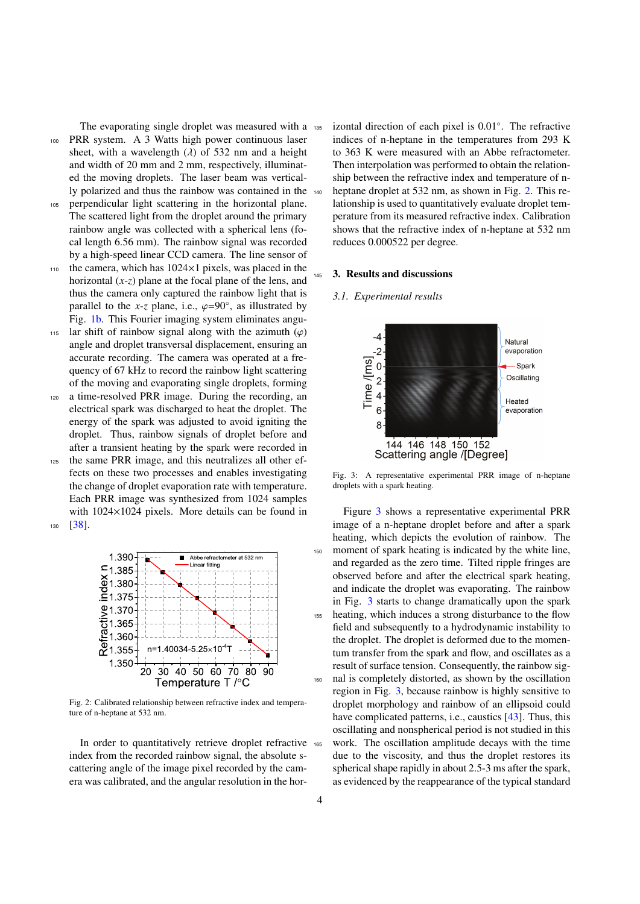The evaporating single droplet was measured with a 135 <sup>100</sup> PRR system. A 3 Watts high power continuous laser sheet, with a wavelength  $(\lambda)$  of 532 nm and a height and width of 20 mm and 2 mm, respectively, illuminated the moving droplets. The laser beam was vertically polarized and thus the rainbow was contained in the

- <sup>105</sup> perpendicular light scattering in the horizontal plane. The scattered light from the droplet around the primary rainbow angle was collected with a spherical lens (focal length 6.56 mm). The rainbow signal was recorded by a high-speed linear CCD camera. The line sensor of
- $110$  the camera, which has  $1024\times1$  pixels, was placed in the horizontal (*x*-*z*) plane at the focal plane of the lens, and thus the camera only captured the rainbow light that is parallel to the *x*-*z* plane, i.e.,  $\varphi=90^\circ$ , as illustrated by<br>Fig. 1b. This Fourier imaging system eliminates angu-Fig. [1b.](#page-2-1) This Fourier imaging system eliminates angu-
- 115 lar shift of rainbow signal along with the azimuth  $(\varphi)$ angle and droplet transversal displacement, ensuring an accurate recording. The camera was operated at a frequency of 67 kHz to record the rainbow light scattering of the moving and evaporating single droplets, forming
- <sup>120</sup> a time-resolved PRR image. During the recording, an electrical spark was discharged to heat the droplet. The energy of the spark was adjusted to avoid igniting the droplet. Thus, rainbow signals of droplet before and after a transient heating by the spark were recorded in
- <sup>125</sup> the same PRR image, and this neutralizes all other effects on these two processes and enables investigating the change of droplet evaporation rate with temperature. Each PRR image was synthesized from 1024 samples with 1024×1024 pixels. More details can be found in <sup>130</sup> [\[38\]](#page-7-29).

<span id="page-3-0"></span>

Fig. 2: Calibrated relationship between refractive index and temperature of n-heptane at 532 nm.

In order to quantitatively retrieve droplet refractive index from the recorded rainbow signal, the absolute scattering angle of the image pixel recorded by the camera was calibrated, and the angular resolution in the hor-

135 izontal direction of each pixel is 0.01°. The refractive indices of n-heptane in the temperatures from 293 K to 363 K were measured with an Abbe refractometer. Then interpolation was performed to obtain the relationship between the refractive index and temperature of n-140 heptane droplet at 532 nm, as shown in Fig. [2.](#page-3-0) This relationship is used to quantitatively evaluate droplet temperature from its measured refractive index. Calibration shows that the refractive index of n-heptane at 532 nm reduces 0.000522 per degree.

## <sup>145</sup> 3. Results and discussions

#### *3.1. Experimental results*

<span id="page-3-1"></span>

Fig. 3: A representative experimental PRR image of n-heptane droplets with a spark heating.

Figure [3](#page-3-1) shows a representative experimental PRR image of a n-heptane droplet before and after a spark heating, which depicts the evolution of rainbow. The moment of spark heating is indicated by the white line, and regarded as the zero time. Tilted ripple fringes are observed before and after the electrical spark heating, and indicate the droplet was evaporating. The rainbow in Fig. [3](#page-3-1) starts to change dramatically upon the spark <sup>155</sup> heating, which induces a strong disturbance to the flow field and subsequently to a hydrodynamic instability to the droplet. The droplet is deformed due to the momentum transfer from the spark and flow, and oscillates as a result of surface tension. Consequently, the rainbow sig-<sup>160</sup> nal is completely distorted, as shown by the oscillation region in Fig. [3,](#page-3-1) because rainbow is highly sensitive to droplet morphology and rainbow of an ellipsoid could have complicated patterns, i.e., caustics [\[43\]](#page-7-33). Thus, this oscillating and nonspherical period is not studied in this <sup>165</sup> work. The oscillation amplitude decays with the time due to the viscosity, and thus the droplet restores its spherical shape rapidly in about 2.5-3 ms after the spark, as evidenced by the reappearance of the typical standard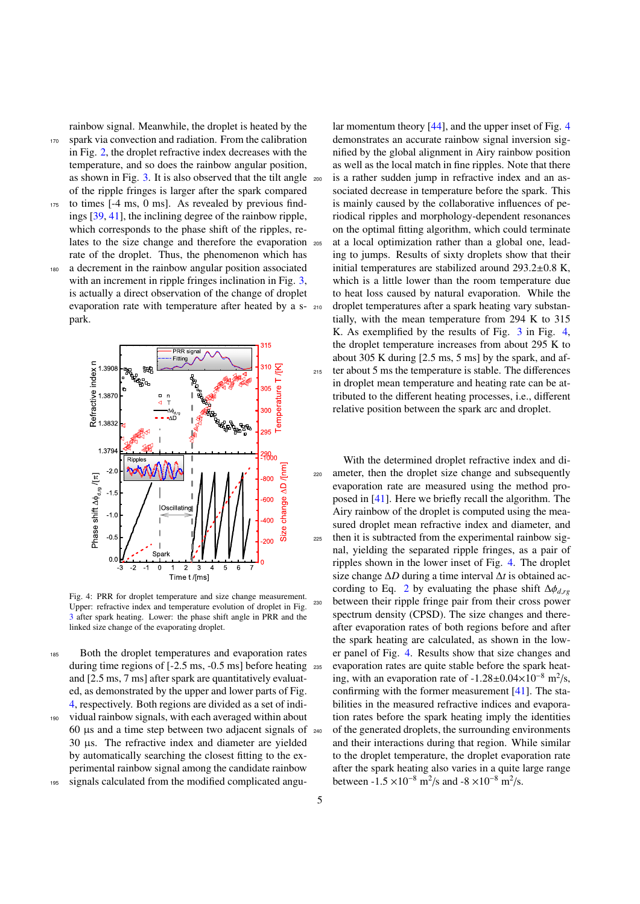rainbow signal. Meanwhile, the droplet is heated by the <sup>170</sup> spark via convection and radiation. From the calibration in Fig. [2,](#page-3-0) the droplet refractive index decreases with the temperature, and so does the rainbow angular position, as shown in Fig. [3.](#page-3-1) It is also observed that the tilt angle of the ripple fringes is larger after the spark compared

- <sup>175</sup> to times [-4 ms, 0 ms]. As revealed by previous findings [\[39,](#page-7-30) [41\]](#page-7-31), the inclining degree of the rainbow ripple, which corresponds to the phase shift of the ripples, relates to the size change and therefore the evaporation rate of the droplet. Thus, the phenomenon which has <sup>180</sup> a decrement in the rainbow angular position associated
	- with an increment in ripple fringes inclination in Fig. [3,](#page-3-1) is actually a direct observation of the change of droplet evaporation rate with temperature after heated by a s- 210 park.

<span id="page-4-0"></span>

Fig. 4: PRR for droplet temperature and size change measurement. Upper: refractive index and temperature evolution of droplet in Fig. [3](#page-3-1) after spark heating. Lower: the phase shift angle in PRR and the linked size change of the evaporating droplet.

<sup>185</sup> Both the droplet temperatures and evaporation rates during time regions of [-2.5 ms, -0.5 ms] before heating <sub>235</sub> and [2.5 ms, 7 ms] after spark are quantitatively evaluated, as demonstrated by the upper and lower parts of Fig. [4,](#page-4-0) respectively. Both regions are divided as a set of indi-<sup>190</sup> vidual rainbow signals, with each averaged within about

- 60 µs and a time step between two adjacent signals of 30 µs. The refractive index and diameter are yielded by automatically searching the closest fitting to the experimental rainbow signal among the candidate rainbow
- <sup>195</sup> signals calculated from the modified complicated angu-

lar momentum theory [\[44\]](#page-7-34), and the upper inset of Fig. [4](#page-4-0) demonstrates an accurate rainbow signal inversion signified by the global alignment in Airy rainbow position as well as the local match in fine ripples. Note that there is a rather sudden jump in refractive index and an associated decrease in temperature before the spark. This is mainly caused by the collaborative influences of periodical ripples and morphology-dependent resonances on the optimal fitting algorithm, which could terminate <sup>205</sup> at a local optimization rather than a global one, leading to jumps. Results of sixty droplets show that their initial temperatures are stabilized around 293.2±0.8 K, which is a little lower than the room temperature due to heat loss caused by natural evaporation. While the droplet temperatures after a spark heating vary substantially, with the mean temperature from 294 K to 315 K. As exemplified by the results of Fig. [3](#page-3-1) in Fig. [4,](#page-4-0) the droplet temperature increases from about 295 K to about 305 K during [2.5 ms, 5 ms] by the spark, and af-<sup>215</sup> ter about 5 ms the temperature is stable. The differences in droplet mean temperature and heating rate can be attributed to the different heating processes, i.e., different relative position between the spark arc and droplet.

With the determined droplet refractive index and di-<sup>220</sup> ameter, then the droplet size change and subsequently evaporation rate are measured using the method proposed in [\[41\]](#page-7-31). Here we briefly recall the algorithm. The Airy rainbow of the droplet is computed using the measured droplet mean refractive index and diameter, and <sup>225</sup> then it is subtracted from the experimental rainbow signal, yielding the separated ripple fringes, as a pair of ripples shown in the lower inset of Fig. [4.](#page-4-0) The droplet size change ∆*D* during a time interval ∆*t* is obtained ac-cording to Eq. [2](#page-2-2) by evaluating the phase shift  $\Delta \phi_{d,rg}$ <sup>230</sup> between their ripple fringe pair from their cross power spectrum density (CPSD). The size changes and thereafter evaporation rates of both regions before and after the spark heating are calculated, as shown in the lower panel of Fig. [4.](#page-4-0) Results show that size changes and evaporation rates are quite stable before the spark heating, with an evaporation rate of  $-1.28 \pm 0.04 \times 10^{-8}$  m<sup>2</sup>/s, confirming with the former measurement [\[41\]](#page-7-31). The stabilities in the measured refractive indices and evaporation rates before the spark heating imply the identities <sup>240</sup> of the generated droplets, the surrounding environments and their interactions during that region. While similar to the droplet temperature, the droplet evaporation rate after the spark heating also varies in a quite large range between -1.5 ×10<sup>-8</sup> m<sup>2</sup>/s and -8 ×10<sup>-8</sup> m<sup>2</sup>/s.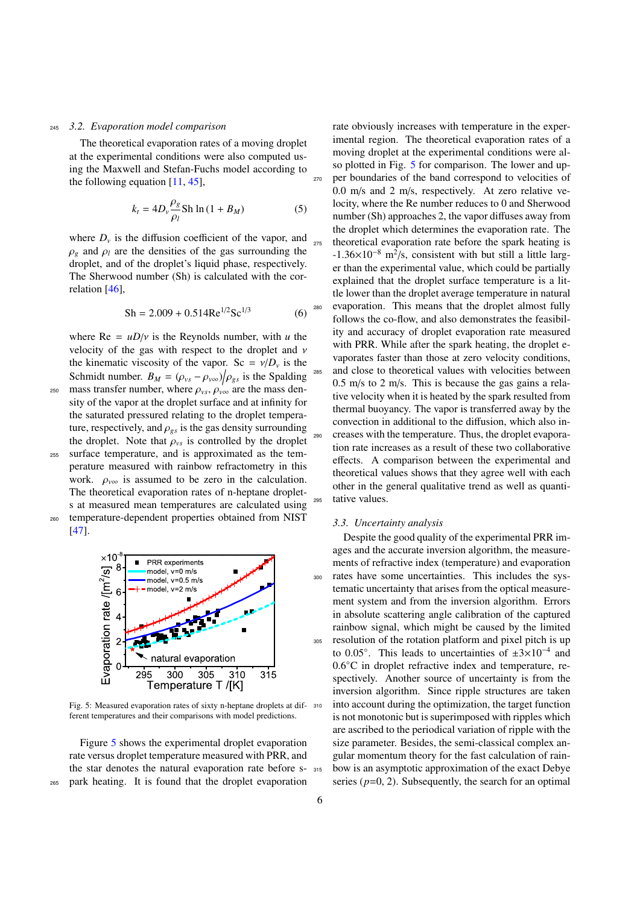### <sup>245</sup> *3.2. Evaporation model comparison*

The theoretical evaporation rates of a moving droplet at the experimental conditions were also computed using the Maxwell and Stefan-Fuchs model according to the following equation [\[11,](#page-7-35) [45\]](#page-7-36),

$$
k_t = 4D_v \frac{\rho_g}{\rho_l} \text{Sh} \ln \left( 1 + B_M \right) \tag{5}
$$

where  $D<sub>v</sub>$  is the diffusion coefficient of the vapor, and  $\rho_g$  and  $\rho_l$  are the densities of the gas surrounding the droplet, and of the droplet's liquid phase, respectively. The Sherwood number (Sh) is calculated with the correlation [\[46\]](#page-7-37),

$$
Sh = 2.009 + 0.514 \text{Re}^{1/2} \text{Sc}^{1/3}
$$
 (6)

where  $\text{Re} = uD/v$  is the Reynolds number, with *u* the velocity of the gas with respect to the droplet and ν the kinematic viscosity of the vapor. Sc =  $v/D_v$  is the Schmidt number.  $B_M = (\rho_{vs} - \rho_{vo})/\rho_{gs}$  is the Spalding<br>mass transfer number, where  $\rho_{so} = \rho_{gas}$  are the mass den-

 $\omega_{\text{250}}$  mass transfer number, where  $\rho_{\text{vs}}, \rho_{\text{vo}}$  are the mass density of the vapor at the droplet surface and at infinity for the saturated pressured relating to the droplet temperature, respectively, and  $\rho_{gs}$  is the gas density surrounding the droplet. Note that  $\rho_{vs}$  is controlled by the droplet <sup>255</sup> surface temperature, and is approximated as the temperature measured with rainbow refractometry in this work.  $\rho_{\nu\infty}$  is assumed to be zero in the calculation. The theoretical evaporation rates of n-heptane droplets at measured mean temperatures are calculated using <sup>260</sup> temperature-dependent properties obtained from NIST



<span id="page-5-0"></span>

Fig. 5: Measured evaporation rates of sixty n-heptane droplets at dif-  $310$ ferent temperatures and their comparisons with model predictions.

Figure [5](#page-5-0) shows the experimental droplet evaporation rate versus droplet temperature measured with PRR, and the star denotes the natural evaporation rate before s-<sup>265</sup> park heating. It is found that the droplet evaporation

rate obviously increases with temperature in the experimental region. The theoretical evaporation rates of a moving droplet at the experimental conditions were al-so plotted in Fig. [5](#page-5-0) for comparison. The lower and upper boundaries of the band correspond to velocities of 0.0 m/s and 2 m/s, respectively. At zero relative velocity, where the Re number reduces to 0 and Sherwood number (Sh) approaches 2, the vapor diffuses away from the droplet which determines the evaporation rate. The theoretical evaporation rate before the spark heating is  $-1.36 \times 10^{-8}$  m<sup>2</sup>/s, consistent with but still a little larger than the experimental value, which could be partially explained that the droplet surface temperature is a little lower than the droplet average temperature in natural evaporation. This means that the droplet almost fully follows the co-flow, and also demonstrates the feasibility and accuracy of droplet evaporation rate measured with PRR. While after the spark heating, the droplet evaporates faster than those at zero velocity conditions, and close to theoretical values with velocities between 0.5 m/s to 2 m/s. This is because the gas gains a relative velocity when it is heated by the spark resulted from thermal buoyancy. The vapor is transferred away by the convection in additional to the diffusion, which also in-<sup>290</sup> creases with the temperature. Thus, the droplet evaporation rate increases as a result of these two collaborative effects. A comparison between the experimental and theoretical values shows that they agree well with each other in the general qualitative trend as well as quanti-<sup>295</sup> tative values.

# *3.3. Uncertainty analysis*

Despite the good quality of the experimental PRR images and the accurate inversion algorithm, the measurements of refractive index (temperature) and evaporation <sup>300</sup> rates have some uncertainties. This includes the systematic uncertainty that arises from the optical measurement system and from the inversion algorithm. Errors in absolute scattering angle calibration of the captured rainbow signal, which might be caused by the limited <sup>305</sup> resolution of the rotation platform and pixel pitch is up to 0.05°. This leads to uncertainties of  $\pm 3 \times 10^{-4}$  and 0.6◦C in droplet refractive index and temperature, respectively. Another source of uncertainty is from the inversion algorithm. Since ripple structures are taken into account during the optimization, the target function is not monotonic but is superimposed with ripples which are ascribed to the periodical variation of ripple with the size parameter. Besides, the semi-classical complex angular momentum theory for the fast calculation of rain-315 bow is an asymptotic approximation of the exact Debye series  $(p=0, 2)$ . Subsequently, the search for an optimal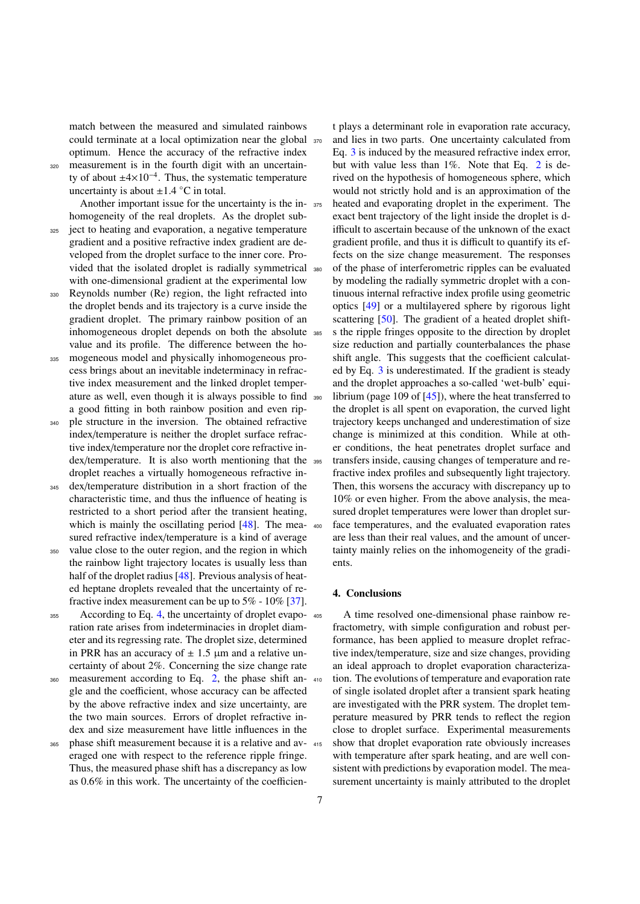match between the measured and simulated rainbows could terminate at a local optimization near the global optimum. Hence the accuracy of the refractive index

<sup>320</sup> measurement is in the fourth digit with an uncertainty of about  $\pm 4 \times 10^{-4}$ . Thus, the systematic temperature uncertainty is about  $\pm 1.4$  °C in total.

Another important issue for the uncertainty is the inhomogeneity of the real droplets. As the droplet sub-<sup>325</sup> ject to heating and evaporation, a negative temperature

- gradient and a positive refractive index gradient are developed from the droplet surface to the inner core. Provided that the isolated droplet is radially symmetrical with one-dimensional gradient at the experimental low
- <sup>330</sup> Reynolds number (Re) region, the light refracted into the droplet bends and its trajectory is a curve inside the gradient droplet. The primary rainbow position of an inhomogeneous droplet depends on both the absolute value and its profile. The difference between the ho-
- <sup>335</sup> mogeneous model and physically inhomogeneous process brings about an inevitable indeterminacy in refractive index measurement and the linked droplet temperature as well, even though it is always possible to find a good fitting in both rainbow position and even rip-
- <sup>340</sup> ple structure in the inversion. The obtained refractive index/temperature is neither the droplet surface refractive index/temperature nor the droplet core refractive index/temperature. It is also worth mentioning that the droplet reaches a virtually homogeneous refractive in-
- <sup>345</sup> dex/temperature distribution in a short fraction of the characteristic time, and thus the influence of heating is restricted to a short period after the transient heating, which is mainly the oscillating period [\[48\]](#page-7-39). The measured refractive index/temperature is a kind of average
- <sup>350</sup> value close to the outer region, and the region in which the rainbow light trajectory locates is usually less than half of the droplet radius [\[48\]](#page-7-39). Previous analysis of heated heptane droplets revealed that the uncertainty of refractive index measurement can be up to 5% - 10% [\[37\]](#page-7-28).
- 355 According to Eq. [4,](#page-2-3) the uncertainty of droplet evaporation rate arises from indeterminacies in droplet diameter and its regressing rate. The droplet size, determined in PRR has an accuracy of  $\pm$  1.5  $\mu$ m and a relative uncertainty of about 2%. Concerning the size change rate
- 360 measurement according to Eq. [2,](#page-2-2) the phase shift angle and the coefficient, whose accuracy can be affected by the above refractive index and size uncertainty, are the two main sources. Errors of droplet refractive index and size measurement have little influences in the
- phase shift measurement because it is a relative and averaged one with respect to the reference ripple fringe. Thus, the measured phase shift has a discrepancy as low as 0.6% in this work. The uncertainty of the coefficien-

t plays a determinant role in evaporation rate accuracy, and lies in two parts. One uncertainty calculated from Eq. [3](#page-2-4) is induced by the measured refractive index error, but with value less than 1%. Note that Eq. [2](#page-2-2) is derived on the hypothesis of homogeneous sphere, which would not strictly hold and is an approximation of the heated and evaporating droplet in the experiment. The exact bent trajectory of the light inside the droplet is difficult to ascertain because of the unknown of the exact gradient profile, and thus it is difficult to quantify its effects on the size change measurement. The responses of the phase of interferometric ripples can be evaluated by modeling the radially symmetric droplet with a continuous internal refractive index profile using geometric optics [\[49\]](#page-7-40) or a multilayered sphere by rigorous light scattering [\[50\]](#page-7-41). The gradient of a heated droplet shifts the ripple fringes opposite to the direction by droplet size reduction and partially counterbalances the phase shift angle. This suggests that the coefficient calculated by Eq. [3](#page-2-4) is underestimated. If the gradient is steady and the droplet approaches a so-called 'wet-bulb' equilibrium (page 109 of  $[45]$ ), where the heat transferred to the droplet is all spent on evaporation, the curved light trajectory keeps unchanged and underestimation of size change is minimized at this condition. While at other conditions, the heat penetrates droplet surface and transfers inside, causing changes of temperature and refractive index profiles and subsequently light trajectory. Then, this worsens the accuracy with discrepancy up to 10% or even higher. From the above analysis, the measured droplet temperatures were lower than droplet sur-<sup>400</sup> face temperatures, and the evaluated evaporation rates are less than their real values, and the amount of uncertainty mainly relies on the inhomogeneity of the gradients.

# 4. Conclusions

A time resolved one-dimensional phase rainbow refractometry, with simple configuration and robust performance, has been applied to measure droplet refractive index/temperature, size and size changes, providing an ideal approach to droplet evaporation characterization. The evolutions of temperature and evaporation rate of single isolated droplet after a transient spark heating are investigated with the PRR system. The droplet temperature measured by PRR tends to reflect the region close to droplet surface. Experimental measurements show that droplet evaporation rate obviously increases with temperature after spark heating, and are well consistent with predictions by evaporation model. The measurement uncertainty is mainly attributed to the droplet